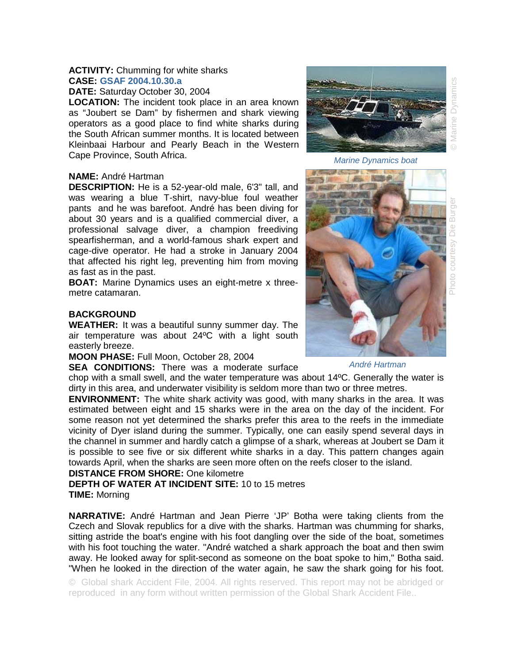### **ACTIVITY:** Chumming for white sharks **CASE: GSAF 2004.10.30.a**

**DATE:** Saturday October 30, 2004

**LOCATION:** The incident took place in an area known as "Joubert se Dam" by fishermen and shark viewing operators as a good place to find white sharks during the South African summer months. It is located between Kleinbaai Harbour and Pearly Beach in the Western Cape Province, South Africa.

### **NAME:** André Hartman

**DESCRIPTION:** He is a 52-year-old male, 6'3" tall, and was wearing a blue T-shirt, navy-blue foul weather pants and he was barefoot. André has been diving for about 30 years and is a qualified commercial diver, a professional salvage diver, a champion freediving spearfisherman, and a world-famous shark expert and cage-dive operator. He had a stroke in January 2004 that affected his right leg, preventing him from moving as fast as in the past.

**BOAT:** Marine Dynamics uses an eight-metre x threemetre catamaran.

## **BACKGROUND**

**WEATHER:** It was a beautiful sunny summer day. The air temperature was about 24ºC with a light south easterly breeze.

**MOON PHASE:** Full Moon, October 28, 2004

**SEA CONDITIONS:** There was a moderate surface

chop with a small swell, and the water temperature was about 14ºC. Generally the water is dirty in this area, and underwater visibility is seldom more than two or three metres. **ENVIRONMENT:** The white shark activity was good, with many sharks in the area. It was

estimated between eight and 15 sharks were in the area on the day of the incident. For some reason not yet determined the sharks prefer this area to the reefs in the immediate vicinity of Dyer island during the summer. Typically, one can easily spend several days in the channel in summer and hardly catch a glimpse of a shark, whereas at Joubert se Dam it is possible to see five or six different white sharks in a day. This pattern changes again towards April, when the sharks are seen more often on the reefs closer to the island.

# **DISTANCE FROM SHORE:** One kilometre

**DEPTH OF WATER AT INCIDENT SITE:** 10 to 15 metres **TIME:** Morning

**NARRATIVE:** André Hartman and Jean Pierre 'JP' Botha were taking clients from the Czech and Slovak republics for a dive with the sharks. Hartman was chumming for sharks, sitting astride the boat's engine with his foot dangling over the side of the boat, sometimes with his foot touching the water. "André watched a shark approach the boat and then swim away. He looked away for split-second as someone on the boat spoke to him," Botha said. "When he looked in the direction of the water again, he saw the shark going for his foot.

© Global shark Accident File, 2004. All rights reserved. This report may not be abridged or reproduced in any form without written permission of the Global Shark Accident File..



*Marine Dynamics boat* 



# oto courtesy

*André Hartman*